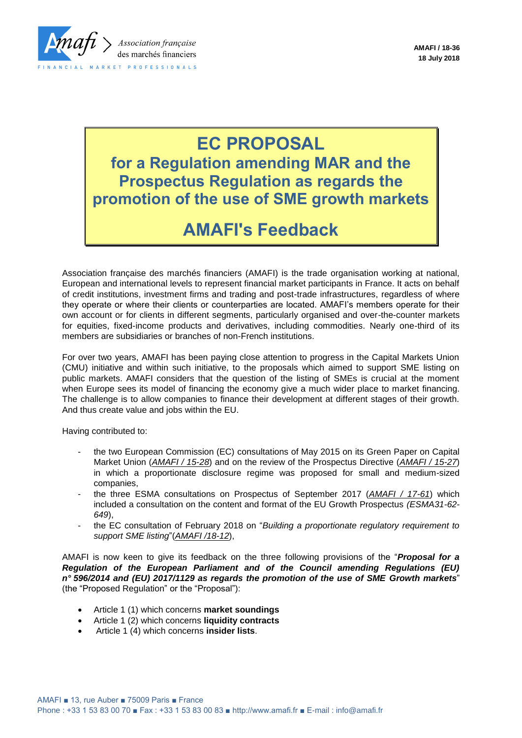

# **EC PROPOSAL**

**for a Regulation amending MAR and the Prospectus Regulation as regards the promotion of the use of SME growth markets**

## **AMAFI's Feedback**

Association française des marchés financiers (AMAFI) is the trade organisation working at national, European and international levels to represent financial market participants in France. It acts on behalf of credit institutions, investment firms and trading and post-trade infrastructures, regardless of where they operate or where their clients or counterparties are located. AMAFI's members operate for their own account or for clients in different segments, particularly organised and over-the-counter markets for equities, fixed-income products and derivatives, including commodities. Nearly one-third of its members are subsidiaries or branches of non-French institutions.

For over two years, AMAFI has been paying close attention to progress in the Capital Markets Union (CMU) initiative and within such initiative, to the proposals which aimed to support SME listing on public markets. AMAFI considers that the question of the listing of SMEs is crucial at the moment when Europe sees its model of financing the economy give a much wider place to market financing. The challenge is to allow companies to finance their development at different stages of their growth. And thus create value and jobs within the EU.

Having contributed to:

- the two European Commission (EC) consultations of May 2015 on its Green Paper on Capital Market Union (*AMAFI / 15-28*) and on the review of the Prospectus Directive (*AMAFI / 15-27*) in which a proportionate disclosure regime was proposed for small and medium-sized companies,
- the three ESMA consultations on Prospectus of September 2017 (*AMAFI / 17-61*) which included a consultation on the content and format of the EU Growth Prospectus *(ESMA31-62- 649*),
- the EC consultation of February 2018 on "*Building a proportionate regulatory requirement to support SME listing*"(*AMAFI /18-12*),

AMAFI is now keen to give its feedback on the three following provisions of the "*Proposal for a Regulation of the European Parliament and of the Council amending Regulations (EU) n° 596/2014 and (EU) 2017/1129 as regards the promotion of the use of SME Growth markets*" (the "Proposed Regulation" or the "Proposal"):

- Article 1 (1) which concerns **market soundings**
- Article 1 (2) which concerns **liquidity contracts**
- Article 1 (4) which concerns **insider lists**.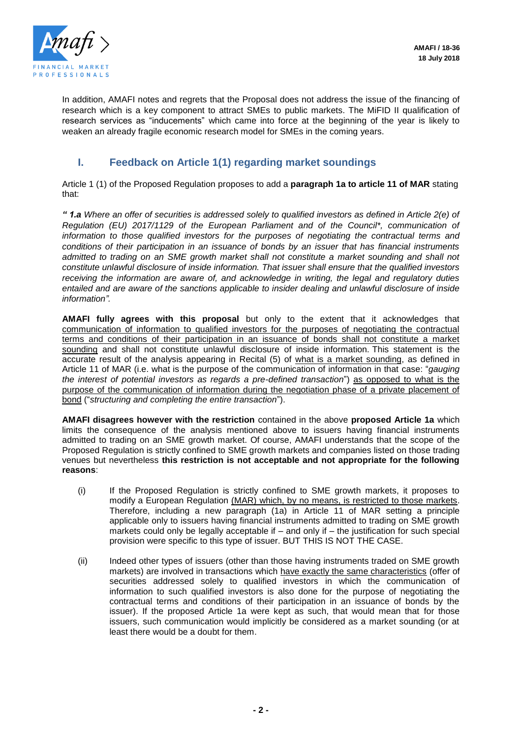

In addition, AMAFI notes and regrets that the Proposal does not address the issue of the financing of research which is a key component to attract SMEs to public markets. The MiFID II qualification of research services as "inducements" which came into force at the beginning of the year is likely to weaken an already fragile economic research model for SMEs in the coming years.

## **I. Feedback on Article 1(1) regarding market soundings**

Article 1 (1) of the Proposed Regulation proposes to add a **paragraph 1a to article 11 of MAR** stating that:

*" 1.a Where an offer of securities is addressed solely to qualified investors as defined in Article 2(e) of Regulation (EU) 2017/1129 of the European Parliament and of the Council\*, communication of information to those qualified investors for the purposes of negotiating the contractual terms and conditions of their participation in an issuance of bonds by an issuer that has financial instruments*  admitted to trading on an SME growth market shall not constitute a market sounding and shall not *constitute unlawful disclosure of inside information. That issuer shall ensure that the qualified investors receiving the information are aware of, and acknowledge in writing, the legal and regulatory duties entailed and are aware of the sanctions applicable to insider dealing and unlawful disclosure of inside information".*

**AMAFI fully agrees with this proposal** but only to the extent that it acknowledges that communication of information to qualified investors for the purposes of negotiating the contractual terms and conditions of their participation in an issuance of bonds shall not constitute a market sounding and shall not constitute unlawful disclosure of inside information. This statement is the accurate result of the analysis appearing in Recital (5) of what is a market sounding, as defined in Article 11 of MAR (i.e. what is the purpose of the communication of information in that case: "*gauging the interest of potential investors as regards a pre-defined transaction*") as opposed to what is the purpose of the communication of information during the negotiation phase of a private placement of bond ("*structuring and completing the entire transaction*").

**AMAFI disagrees however with the restriction** contained in the above **proposed Article 1a** which limits the consequence of the analysis mentioned above to issuers having financial instruments admitted to trading on an SME growth market. Of course, AMAFI understands that the scope of the Proposed Regulation is strictly confined to SME growth markets and companies listed on those trading venues but nevertheless **this restriction is not acceptable and not appropriate for the following reasons**:

- (i) If the Proposed Regulation is strictly confined to SME growth markets, it proposes to modify a European Regulation (MAR) which, by no means, is restricted to those markets. Therefore, including a new paragraph (1a) in Article 11 of MAR setting a principle applicable only to issuers having financial instruments admitted to trading on SME growth markets could only be legally acceptable if  $-$  and only if  $-$  the justification for such special provision were specific to this type of issuer. BUT THIS IS NOT THE CASE.
- (ii) Indeed other types of issuers (other than those having instruments traded on SME growth markets) are involved in transactions which have exactly the same characteristics (offer of securities addressed solely to qualified investors in which the communication of information to such qualified investors is also done for the purpose of negotiating the contractual terms and conditions of their participation in an issuance of bonds by the issuer). If the proposed Article 1a were kept as such, that would mean that for those issuers, such communication would implicitly be considered as a market sounding (or at least there would be a doubt for them.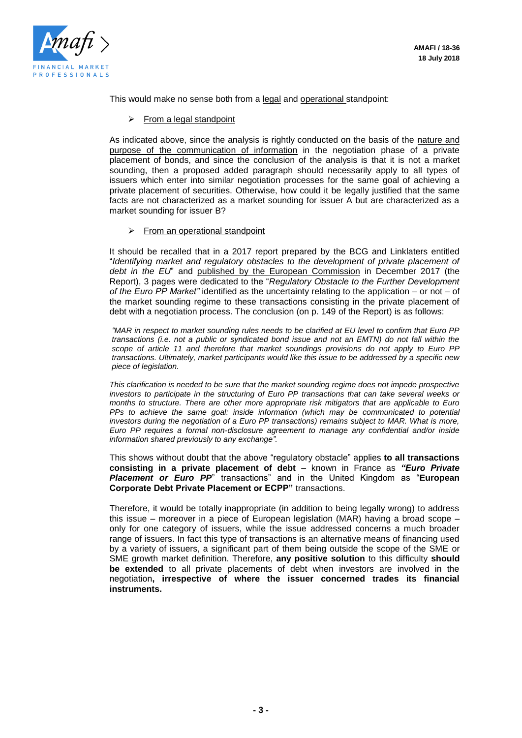

This would make no sense both from a legal and operational standpoint:

 $\triangleright$  From a legal standpoint

As indicated above, since the analysis is rightly conducted on the basis of the nature and purpose of the communication of information in the negotiation phase of a private placement of bonds, and since the conclusion of the analysis is that it is not a market sounding, then a proposed added paragraph should necessarily apply to all types of issuers which enter into similar negotiation processes for the same goal of achieving a private placement of securities. Otherwise, how could it be legally justified that the same facts are not characterized as a market sounding for issuer A but are characterized as a market sounding for issuer B?

 $\triangleright$  From an operational standpoint

It should be recalled that in a 2017 report prepared by the BCG and Linklaters entitled "*Identifying market and regulatory obstacles to the development of private placement of debt in the EU*" and published by the European Commission in December 2017 (the Report), 3 pages were dedicated to the "*Regulatory Obstacle to the Further Development of the Euro PP Market"* identified as the uncertainty relating to the application – or not – of the market sounding regime to these transactions consisting in the private placement of debt with a negotiation process. The conclusion (on p. 149 of the Report) is as follows:

*"MAR in respect to market sounding rules needs to be clarified at EU level to confirm that Euro PP transactions (i.e. not a public or syndicated bond issue and not an EMTN) do not fall within the scope of article 11 and therefore that market soundings provisions do not apply to Euro PP transactions. Ultimately, market participants would like this issue to be addressed by a specific new piece of legislation.* 

*This clarification is needed to be sure that the market sounding regime does not impede prospective investors to participate in the structuring of Euro PP transactions that can take several weeks or months to structure. There are other more appropriate risk mitigators that are applicable to Euro PPs to achieve the same goal: inside information (which may be communicated to potential*  investors during the negotiation of a Euro PP transactions) remains subject to MAR. What is more, *Euro PP requires a formal non-disclosure agreement to manage any confidential and/or inside information shared previously to any exchange".*

This shows without doubt that the above "regulatory obstacle" applies **to all transactions consisting in a private placement of debt** – known in France as *"Euro Private Placement or Euro PP*" transactions" and in the United Kingdom as "**European Corporate Debt Private Placement or ECPP"** transactions.

Therefore, it would be totally inappropriate (in addition to being legally wrong) to address this issue – moreover in a piece of European legislation (MAR) having a broad scope – only for one category of issuers, while the issue addressed concerns a much broader range of issuers. In fact this type of transactions is an alternative means of financing used by a variety of issuers, a significant part of them being outside the scope of the SME or SME growth market definition. Therefore, **any positive solution** to this difficulty **should be extended** to all private placements of debt when investors are involved in the negotiation**, irrespective of where the issuer concerned trades its financial instruments.**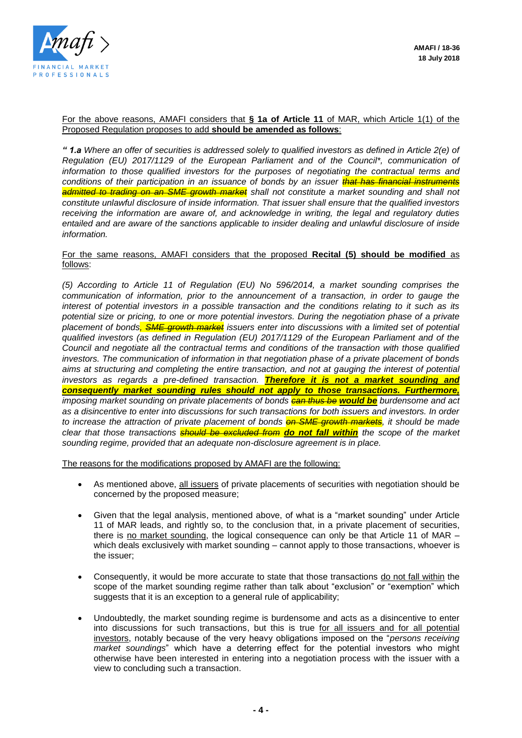

#### For the above reasons, AMAFI considers that **§ 1a of Article 11** of MAR, which Article 1(1) of the Proposed Regulation proposes to add **should be amended as follows**:

*" 1.a Where an offer of securities is addressed solely to qualified investors as defined in Article 2(e) of Regulation (EU) 2017/1129 of the European Parliament and of the Council\*, communication of information to those qualified investors for the purposes of negotiating the contractual terms and conditions of their participation in an issuance of bonds by an issuer that has financial instruments admitted to trading on an SME growth market shall not constitute a market sounding and shall not constitute unlawful disclosure of inside information. That issuer shall ensure that the qualified investors receiving the information are aware of, and acknowledge in writing, the legal and regulatory duties entailed and are aware of the sanctions applicable to insider dealing and unlawful disclosure of inside information.*

#### For the same reasons, AMAFI considers that the proposed **Recital (5) should be modified** as follows:

*(5) According to Article 11 of Regulation (EU) No 596/2014, a market sounding comprises the communication of information, prior to the announcement of a transaction, in order to gauge the interest of potential investors in a possible transaction and the conditions relating to it such as its potential size or pricing, to one or more potential investors. During the negotiation phase of a private placement of bonds, SME growth market issuers enter into discussions with a limited set of potential qualified investors (as defined in Regulation (EU) 2017/1129 of the European Parliament and of the Council and negotiate all the contractual terms and conditions of the transaction with those qualified investors. The communication of information in that negotiation phase of a private placement of bonds aims at structuring and completing the entire transaction, and not at gauging the interest of potential investors as regards a pre-defined transaction. Therefore it is not a market sounding and consequently market sounding rules should not apply to those transactions. Furthermore, imposing market sounding on private placements of bonds can thus be would be burdensome and act as a disincentive to enter into discussions for such transactions for both issuers and investors. In order to increase the attraction of private placement of bonds on SME growth markets, it should be made clear that those transactions should be excluded from do not fall within the scope of the market sounding regime, provided that an adequate non-disclosure agreement is in place.*

The reasons for the modifications proposed by AMAFI are the following:

- As mentioned above, all issuers of private placements of securities with negotiation should be concerned by the proposed measure;
- Given that the legal analysis, mentioned above, of what is a "market sounding" under Article 11 of MAR leads, and rightly so, to the conclusion that, in a private placement of securities, there is no market sounding, the logical consequence can only be that Article 11 of MAR – which deals exclusively with market sounding – cannot apply to those transactions, whoever is the issuer;
- Consequently, it would be more accurate to state that those transactions do not fall within the scope of the market sounding regime rather than talk about "exclusion" or "exemption" which suggests that it is an exception to a general rule of applicability;
- Undoubtedly, the market sounding regime is burdensome and acts as a disincentive to enter into discussions for such transactions, but this is true for all issuers and for all potential investors, notably because of the very heavy obligations imposed on the "*persons receiving market soundings*" which have a deterring effect for the potential investors who might otherwise have been interested in entering into a negotiation process with the issuer with a view to concluding such a transaction.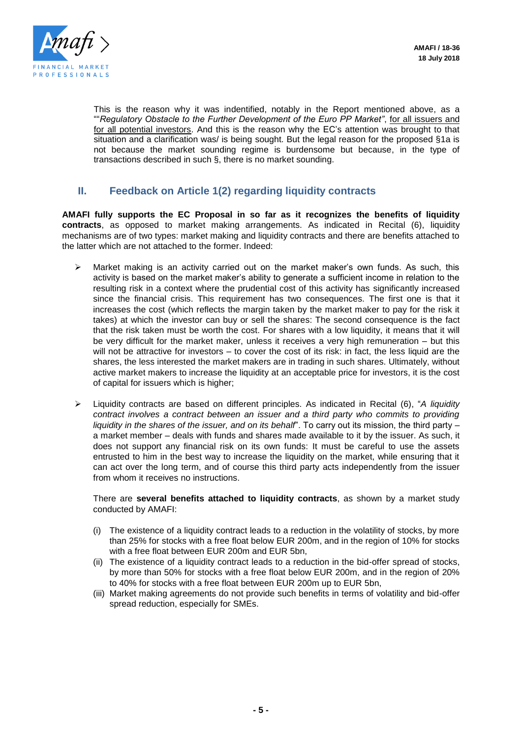

This is the reason why it was indentified, notably in the Report mentioned above, as a ""*Regulatory Obstacle to the Further Development of the Euro PP Market"*, for all issuers and for all potential investors. And this is the reason why the EC's attention was brought to that situation and a clarification was/ is being sought. But the legal reason for the proposed §1a is not because the market sounding regime is burdensome but because, in the type of transactions described in such §, there is no market sounding.

## **II. Feedback on Article 1(2) regarding liquidity contracts**

**AMAFI fully supports the EC Proposal in so far as it recognizes the benefits of liquidity contracts**, as opposed to market making arrangements. As indicated in Recital (6), liquidity mechanisms are of two types: market making and liquidity contracts and there are benefits attached to the latter which are not attached to the former. Indeed:

- Market making is an activity carried out on the market maker's own funds. As such, this activity is based on the market maker's ability to generate a sufficient income in relation to the resulting risk in a context where the prudential cost of this activity has significantly increased since the financial crisis. This requirement has two consequences. The first one is that it increases the cost (which reflects the margin taken by the market maker to pay for the risk it takes) at which the investor can buy or sell the shares: The second consequence is the fact that the risk taken must be worth the cost. For shares with a low liquidity, it means that it will be very difficult for the market maker, unless it receives a very high remuneration – but this will not be attractive for investors – to cover the cost of its risk: in fact, the less liquid are the shares, the less interested the market makers are in trading in such shares. Ultimately, without active market makers to increase the liquidity at an acceptable price for investors, it is the cost of capital for issuers which is higher;
- Liquidity contracts are based on different principles. As indicated in Recital (6), "*A liquidity contract involves a contract between an issuer and a third party who commits to providing liquidity in the shares of the issuer, and on its behalf*". To carry out its mission, the third party – a market member – deals with funds and shares made available to it by the issuer. As such, it does not support any financial risk on its own funds: It must be careful to use the assets entrusted to him in the best way to increase the liquidity on the market, while ensuring that it can act over the long term, and of course this third party acts independently from the issuer from whom it receives no instructions.

There are **several benefits attached to liquidity contracts**, as shown by a market study conducted by AMAFI:

- (i) The existence of a liquidity contract leads to a reduction in the volatility of stocks, by more than 25% for stocks with a free float below EUR 200m, and in the region of 10% for stocks with a free float between EUR 200m and EUR 5bn,
- (ii) The existence of a liquidity contract leads to a reduction in the bid-offer spread of stocks, by more than 50% for stocks with a free float below EUR 200m, and in the region of 20% to 40% for stocks with a free float between EUR 200m up to EUR 5bn,
- (iii) Market making agreements do not provide such benefits in terms of volatility and bid-offer spread reduction, especially for SMEs.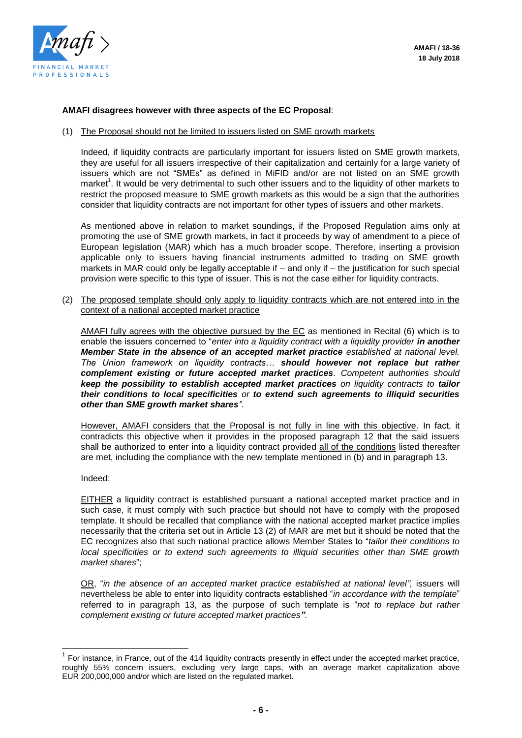

#### **AMAFI disagrees however with three aspects of the EC Proposal**:

#### (1) The Proposal should not be limited to issuers listed on SME growth markets

Indeed, if liquidity contracts are particularly important for issuers listed on SME growth markets, they are useful for all issuers irrespective of their capitalization and certainly for a large variety of issuers which are not "SMEs" as defined in MiFID and/or are not listed on an SME growth market<sup>1</sup>. It would be very detrimental to such other issuers and to the liquidity of other markets to restrict the proposed measure to SME growth markets as this would be a sign that the authorities consider that liquidity contracts are not important for other types of issuers and other markets.

As mentioned above in relation to market soundings, if the Proposed Regulation aims only at promoting the use of SME growth markets, in fact it proceeds by way of amendment to a piece of European legislation (MAR) which has a much broader scope. Therefore, inserting a provision applicable only to issuers having financial instruments admitted to trading on SME growth markets in MAR could only be legally acceptable if – and only if – the justification for such special provision were specific to this type of issuer. This is not the case either for liquidity contracts.

(2) The proposed template should only apply to liquidity contracts which are not entered into in the context of a national accepted market practice

AMAFI fully agrees with the objective pursued by the EC as mentioned in Recital (6) which is to enable the issuers concerned to "*enter into a liquidity contract with a liquidity provider in another Member State in the absence of an accepted market practice established at national level. The Union framework on liquidity contracts… should however not replace but rather complement existing or future accepted market practices. Competent authorities should keep the possibility to establish accepted market practices on liquidity contracts to tailor their conditions to local specificities or to extend such agreements to illiquid securities other than SME growth market shares".* 

However, AMAFI considers that the Proposal is not fully in line with this objective. In fact, it contradicts this objective when it provides in the proposed paragraph 12 that the said issuers shall be authorized to enter into a liquidity contract provided all of the conditions listed thereafter are met, including the compliance with the new template mentioned in (b) and in paragraph 13.

#### Indeed:

l

EITHER a liquidity contract is established pursuant a national accepted market practice and in such case, it must comply with such practice but should not have to comply with the proposed template. It should be recalled that compliance with the national accepted market practice implies necessarily that the criteria set out in Article 13 (2) of MAR are met but it should be noted that the EC recognizes also that such national practice allows Member States to "*tailor their conditions to local specificities or to extend such agreements to illiquid securities other than SME growth market shares*";

OR, "in the absence of an accepted market practice established at national level", issuers will nevertheless be able to enter into liquidity contracts established "*in accordance with the template*" referred to in paragraph 13, as the purpose of such template is "*not to replace but rather complement existing or future accepted market practices".* 

 $1$  For instance, in France, out of the 414 liquidity contracts presently in effect under the accepted market practice, roughly 55% concern issuers, excluding very large caps, with an average market capitalization above EUR 200,000,000 and/or which are listed on the regulated market.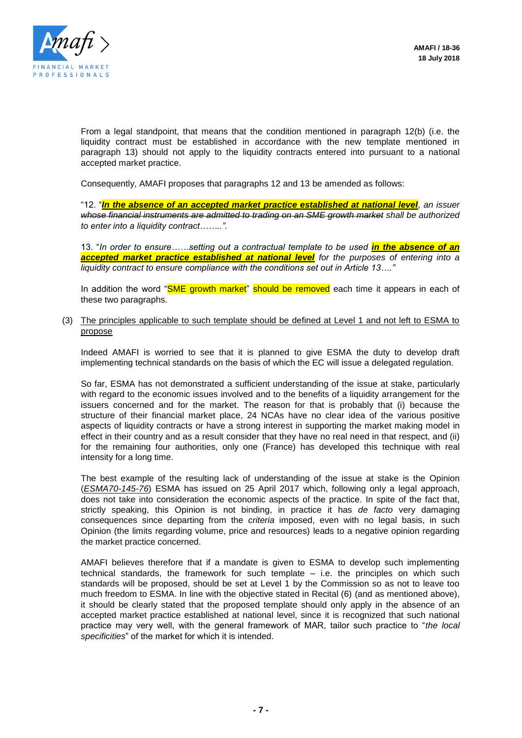

From a legal standpoint, that means that the condition mentioned in paragraph 12(b) (i.e. the liquidity contract must be established in accordance with the new template mentioned in paragraph 13) should not apply to the liquidity contracts entered into pursuant to a national accepted market practice.

Consequently, AMAFI proposes that paragraphs 12 and 13 be amended as follows:

"12. "*In the absence of an accepted market practice established at national level, an issuer whose financial instruments are admitted to trading on an SME growth market shall be authorized to enter into a liquidity contract……..".*

13. "*In order to ensure……setting out a contractual template to be used in the absence of an accepted market practice established at national level for the purposes of entering into a liquidity contract to ensure compliance with the conditions set out in Article 13…."*

In addition the word "SME growth market" should be removed each time it appears in each of these two paragraphs.

(3) The principles applicable to such template should be defined at Level 1 and not left to ESMA to propose

Indeed AMAFI is worried to see that it is planned to give ESMA the duty to develop draft implementing technical standards on the basis of which the EC will issue a delegated regulation.

So far, ESMA has not demonstrated a sufficient understanding of the issue at stake, particularly with regard to the economic issues involved and to the benefits of a liquidity arrangement for the issuers concerned and for the market. The reason for that is probably that (i) because the structure of their financial market place, 24 NCAs have no clear idea of the various positive aspects of liquidity contracts or have a strong interest in supporting the market making model in effect in their country and as a result consider that they have no real need in that respect, and (ii) for the remaining four authorities, only one (France) has developed this technique with real intensity for a long time.

The best example of the resulting lack of understanding of the issue at stake is the Opinion (*ESMA70-145-76*) ESMA has issued on 25 April 2017 which, following only a legal approach, does not take into consideration the economic aspects of the practice. In spite of the fact that, strictly speaking, this Opinion is not binding, in practice it has *de facto* very damaging consequences since departing from the *criteria* imposed, even with no legal basis, in such Opinion (the limits regarding volume, price and resources) leads to a negative opinion regarding the market practice concerned.

AMAFI believes therefore that if a mandate is given to ESMA to develop such implementing technical standards, the framework for such template – i.e. the principles on which such standards will be proposed, should be set at Level 1 by the Commission so as not to leave too much freedom to ESMA. In line with the objective stated in Recital (6) (and as mentioned above), it should be clearly stated that the proposed template should only apply in the absence of an accepted market practice established at national level, since it is recognized that such national practice may very well, with the general framework of MAR, tailor such practice to "*the local specificities*" of the market for which it is intended.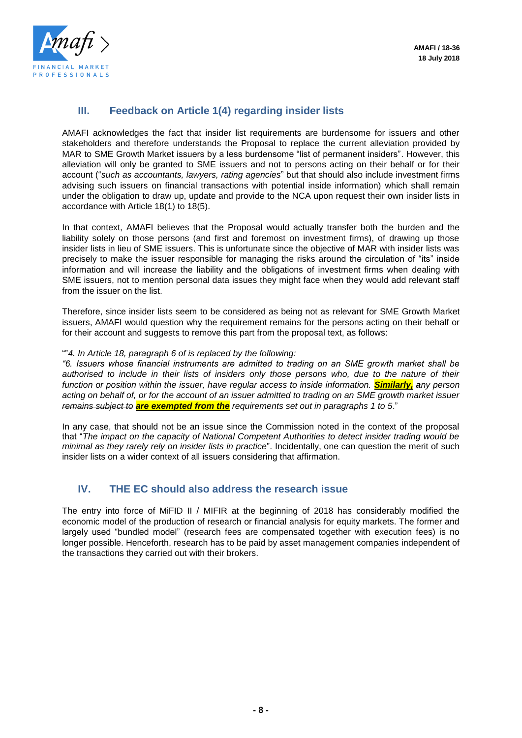

## **III. Feedback on Article 1(4) regarding insider lists**

AMAFI acknowledges the fact that insider list requirements are burdensome for issuers and other stakeholders and therefore understands the Proposal to replace the current alleviation provided by MAR to SME Growth Market issuers by a less burdensome "list of permanent insiders". However, this alleviation will only be granted to SME issuers and not to persons acting on their behalf or for their account ("*such as accountants, lawyers, rating agencies*" but that should also include investment firms advising such issuers on financial transactions with potential inside information) which shall remain under the obligation to draw up, update and provide to the NCA upon request their own insider lists in accordance with Article 18(1) to 18(5).

In that context, AMAFI believes that the Proposal would actually transfer both the burden and the liability solely on those persons (and first and foremost on investment firms), of drawing up those insider lists in lieu of SME issuers. This is unfortunate since the objective of MAR with insider lists was precisely to make the issuer responsible for managing the risks around the circulation of "its" inside information and will increase the liability and the obligations of investment firms when dealing with SME issuers, not to mention personal data issues they might face when they would add relevant staff from the issuer on the list.

Therefore, since insider lists seem to be considered as being not as relevant for SME Growth Market issuers, AMAFI would question why the requirement remains for the persons acting on their behalf or for their account and suggests to remove this part from the proposal text, as follows:

#### ""*4. In Article 18, paragraph 6 of is replaced by the following:*

*"6. Issuers whose financial instruments are admitted to trading on an SME growth market shall be authorised to include in their lists of insiders only those persons who, due to the nature of their function or position within the issuer, have regular access to inside information. Similarly, any person acting on behalf of, or for the account of an issuer admitted to trading on an SME growth market issuer remains subject to are exempted from the requirements set out in paragraphs 1 to 5*."

In any case, that should not be an issue since the Commission noted in the context of the proposal that "*The impact on the capacity of National Competent Authorities to detect insider trading would be minimal as they rarely rely on insider lists in practice*". Incidentally, one can question the merit of such insider lists on a wider context of all issuers considering that affirmation.

### **IV. THE EC should also address the research issue**

The entry into force of MiFID II / MIFIR at the beginning of 2018 has considerably modified the economic model of the production of research or financial analysis for equity markets. The former and largely used "bundled model" (research fees are compensated together with execution fees) is no longer possible. Henceforth, research has to be paid by asset management companies independent of the transactions they carried out with their brokers.